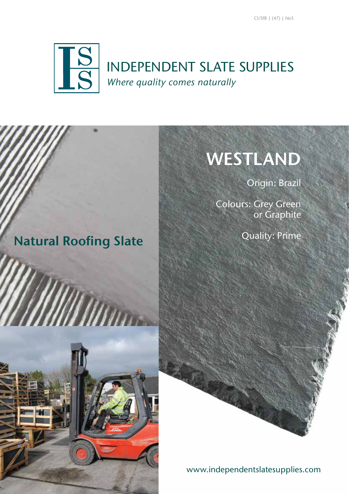

## INDEPENDENT SLATE SUPPLIES *Where quality comes naturally*

# WESTLAND

Origin: Brazil

Colours: Grey Green or Graphite

Quality: Prime

Natural Roofing Slate



www.independentslatesupplies.com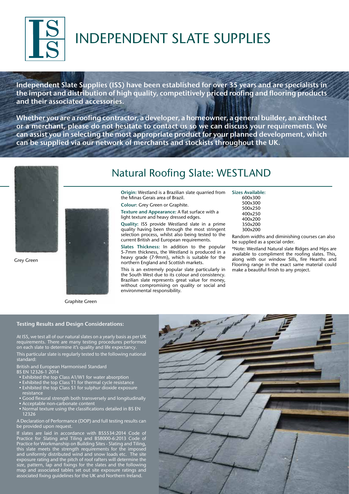

# INDEPENDENT SLATE SUPPLIES

Independent Slate Supplies (ISS) have been established for over 35 years and are specialists in the import and distribution of high quality, competitively priced roofing and flooring products and their associated accessories.

Whether you are a roofing contractor, a developer, a homeowner, a general builder, an architect or a merchant, please do not hesitate to contact us so we can discuss your requirements. We can assist you in selecting the most appropriate product for your planned development, which can be supplied via our network of merchants and stockists throughout the UK.



Grey Green



Graphite Green

## Natural Roofing Slate: WESTLAND

Origin: Westland is a Brazilian slate quarried from the Minas Gerais area of Brazil.

Colour: Grey Green or Graphite.

Texture and Appearance: A flat surface with a light texture and heavy dressed edges.

Quality: ISS provide Westland slate in a prime quality having been through the most stringent selection process, whilst also being tested to the current British and European requirements.

Slates Thickness: In addition to the popular 5-7mm thickness, the Westland is produced in a heavy grade (7-9mm), which is suitable for the northern England and Scottish markets.

This is an extremely popular slate particularly in the South West due to its colour and consistency. Brazilian slate represents great value for money, without compromising on quality or social and environmental responsibility.

Sizes Available: 600x300 500x300 500x250 400x250 400x200 350x200 300x200

Random widths and diminishing courses can also be supplied as a special order.

\*Note: Westland Natural slate Ridges and Hips are available to compliment the roofing slates. This, along with our window Sills, fire Hearths and Flooring range in the exact same material could make a beautiful finish to any project.

#### Testing Results and Design Considerations:

At ISS, we test all of our natural slates on a yearly basis as per UK requirements. There are many testing procedures performed on each slate to determine it's quality and life expectancy.

This particular slate is regularly tested to the following national standard:

British and European Harmonised Standard BS EN 12326-1 2014

- Exhibited the top Class A1/W1 for water absorption
- Exhibited the top Class T1 for thermal cycle resistance
- Exhibited the top Class S1 for sulphur dioxide exposure resistance
- Good flexural strength both transversely and longitudinally
- Acceptable non-carbonate content
- Normal texture using the classifications detailed in BS EN 12326

A Declaration of Performance (DOP) and full testing results can be provided upon request.

If slates are laid in accordance with BS5534:2014 Code of Practice for Slating and Tiling and BS8000-6:2013 Code of Practice for Workmanship on Building Sites - Slating and Tiling, this slate meets the strength requirements for the imposed and uniformly distributed wind and snow loads etc. The site exposure rating and the pitch of roof rafters will determine the size, pattern, lap and fixings for the slates and the following map and associated tables set out site exposure ratings and associated fixing guidelines for the UK and Northern Ireland.

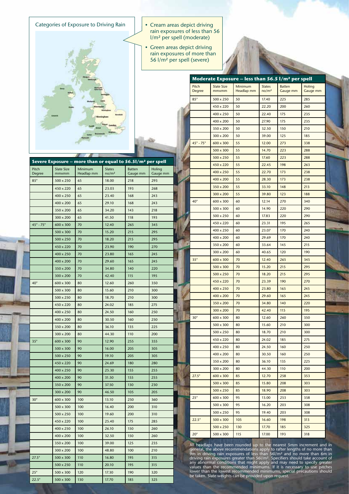Categories of Exposure to Driving Rain | | Cream areas depict driving

- rain exposures of less than 56 l/m² per spell (moderate)
- Green areas depict driving rain exposures of more than 56 l/m² per spell (severe)

**Severe Exposure – more than or equal to 56.5l/m² per spell**

| Pitch<br>Degree          | <b>Slate Size</b><br>mmxmm | Minimum<br>Headlap mm | <b>Slates</b><br>no/m <sup>2</sup> | <b>Batten</b><br>Gauge mm | <b>Holing</b><br>Gauge mm |  |
|--------------------------|----------------------------|-----------------------|------------------------------------|---------------------------|---------------------------|--|
| $85^\circ$               | 500 x 250                  | 50                    | 17.40                              | 225                       | 285                       |  |
|                          | 450 x 220                  | 50                    | 22.20                              | 200                       | 260                       |  |
|                          | 400 x 250                  | 50                    | 22.40                              | 175                       | 235                       |  |
|                          | 400 x 200                  | 50                    | 27.90                              | 175                       | 235                       |  |
|                          | 350 x 200                  | 50                    | 32.50                              | 150                       | 210                       |  |
|                          | 300 x 200                  | 50                    | 39.00                              | 125                       | 185                       |  |
| $45^\circ$ - 75 $^\circ$ | 600 x 300                  | 55                    | 12.00                              | 273                       | 338                       |  |
|                          | 500 x 300                  | 55                    | 14.70                              | 223                       | 288                       |  |
|                          | 500 x 250                  | 55                    | 17.60                              | 223                       | 288                       |  |
|                          | 450 x 220                  | 55                    | 22.45                              | 198                       | 263                       |  |
|                          | 400 x 250                  | 55                    | 22.70                              | 173                       | 238                       |  |
|                          | 400 x 200                  | 55                    | 28.30                              | 173                       | 238                       |  |
|                          | 350 x 200                  | 55                    | 33.10                              | 148                       | 213                       |  |
|                          | 300 x 200                  | 55                    | 39.80                              | 123                       | 188                       |  |
| $40^\circ$               | 600 x 300                  | 60                    | 12.14                              | 270                       | 340                       |  |
|                          | 500 x 300                  | 60                    | 14.90                              | 220                       | 290                       |  |
|                          | 500 x 250                  | 60                    | 17.83                              | 220                       | 290                       |  |
|                          | 450 x 220                  | 60                    | 23.31                              | 195                       | 265                       |  |
|                          | 400 x 250                  | 60                    | 23.07                              | 170                       | 240                       |  |
|                          | 400 x 200                  | 60                    | 29.69                              | 170                       | 240                       |  |
|                          | 350 x 200                  | 60                    | 33.64                              | 145                       | 215                       |  |
|                          | 300 x 200                  | 60                    | 40.65                              | 120                       | 190                       |  |
| $35^\circ$               | 600 x 300                  | 70                    | 12.40                              | 265                       | 345                       |  |
|                          | 500 x 300                  | 70                    | 15.20                              | 215                       | 295                       |  |
|                          | 500 x 250                  | 70                    | 18.20                              | 215                       | 295                       |  |
|                          | 450 x 220                  | 70                    | 23.39                              | 190                       | 270                       |  |
|                          | 400 x 250                  | 70                    | 23.80                              | 165                       | 245                       |  |
|                          | 400 x 200                  | 70                    | 29.60                              | 165                       | 245                       |  |
|                          | 350 x 200                  | 70                    | 34.80                              | 140                       | 220                       |  |
|                          | 300 x 200                  | 70                    | 42.40                              | 115                       | 195                       |  |
| $30^\circ$               | 600 x 300                  | 80                    | 12.60                              | 260                       | 350                       |  |
|                          | 500 x 300                  | 80                    | 15.60                              | 210                       | 300                       |  |
|                          | 500 x 250                  | 80                    | 18.70                              | 210                       | 300                       |  |
|                          | 450 x 220                  | 80                    | 24.02                              | 185                       | 275                       |  |
|                          | 400 x 250                  | 80                    | 24.50                              | 160                       | 250                       |  |
|                          | 400 x 200                  | 80                    | 30.50                              | 160                       | 250                       |  |
|                          | 350 x 200                  | 80                    | 36.10                              | 135                       | 225                       |  |
|                          | 300 x 200                  | 80                    | 44.30                              | 110                       | 200                       |  |
| $27.5^\circ$             | 600 x 300                  | 85                    | 12.70                              | 258                       | 353                       |  |
|                          | 500 x 300                  | 85                    | 15.80                              | 208                       | 303                       |  |
|                          | 500 x 250                  | 85                    | 18.90                              | 208                       | 303                       |  |
| $25^\circ$               | 600 x 300                  | 95                    | 13.00                              | 253                       | 358                       |  |
|                          | 500 x 300                  | 95                    | 16.20                              | 203                       | 308                       |  |
|                          | 500 x 250                  | 95                    | 19.40                              | 203                       | 308                       |  |
| $22.5^\circ$             | 500 x 300                  | 105                   | 16.60                              | 198                       | 313                       |  |
|                          | 500 x 250                  | 130                   | 17.70                              | 185                       | 325                       |  |
| $20^{\circ}$             | 500 x 300                  | 115                   | 17.00                              | 193                       | 318                       |  |

**Moderate Exposure – less than 56.5 l/m² per spell**

All headlaps have been rounded up to the nearest 5mm increment and in general, the above recommendations apply to rafter lengths of no more than 69m in driving rain exposures of less than 56l/m<sup>2</sup>. Specifiers should take

| Pitch<br>Degree  | Slate Size<br>mmxmm | Minimum<br>Headlap mm | <b>Slates</b><br>no/m <sup>2</sup> | Batten<br>Gauge mm | Holing<br>Gauge mm |  |
|------------------|---------------------|-----------------------|------------------------------------|--------------------|--------------------|--|
| $85^\circ$       | 500 x 250           | 65                    | 18.00                              | 218                | 293                |  |
|                  | 450 x 220           | 65                    | 23.03                              | 193                | 268                |  |
|                  | 400 x 250           | 65                    | 23.40                              | 168                | 243                |  |
|                  | 400 x 200           | 65                    | 29.10                              | 168                | 243                |  |
|                  | 350 x 200           | 65                    | 34.20                              | 143                | 218                |  |
|                  | 300 x 200           | 65                    | 41.50                              | 118                | 193                |  |
| $45^\circ$ - 75° | 600 x 300           | 70                    | 12.40                              | 265                | 345                |  |
|                  | 500 x 300           | 70                    | 15.20                              | 215                | 295                |  |
|                  | 500 x 250           | 70                    | 18.20                              | 215                | 295                |  |
|                  | 450 x 220           | 70                    | 23.90                              | 190                | 270                |  |
|                  | 400 x 250           | 70                    | 23.80                              | 165                | 245                |  |
|                  | 400 x 200           | 70                    | 29.60                              | 165                | 245                |  |
|                  | 350 x 200           | 70                    | 34.80                              | 140                | 220                |  |
|                  | 300 x 200           | 70                    | 42.40                              | 115                | 195                |  |
| $40^{\circ}$     | 600 x 300           | 80                    | 12.60                              | 260                | 350                |  |
|                  | 500 x 300           | 80                    | 15.60                              | 210                | 300                |  |
|                  | 500 x 250           | 80                    | 18.70                              | 210                | 300                |  |
|                  | 450 x 220           | 80                    | 24.02                              | 185                | 275                |  |
|                  | 400 x 250           | 80                    | 24.50                              | 160                | 250                |  |
|                  | 400 x 200           | 80                    | 30.50                              | 160                | 250                |  |
|                  | 350 x 200           | 80                    | 36.10                              | 135                | 225                |  |
|                  | 300 x 200           | 80                    | 44.30                              | 110                | 200                |  |
| $35^\circ$       | 600 x 300           | 90                    | 12.90                              | 255                | 355                |  |
|                  | 500 x 300           | 90                    | 16.00                              | 205                | 305                |  |
|                  | 500 x 250           | 90                    | 19.10                              | 205                | 305                |  |
|                  | 450 x 220           | 90                    | 24.69                              | 180                | 280                |  |
|                  | 400 x 250           | 90                    | 25.30                              | 155                | 255                |  |
|                  | 400 x 200           | 90                    | 31.50                              | 155                | 255                |  |
|                  | 350 x 200           | 90                    | 37.50                              | 130                | 230                |  |
|                  | 300 x 200           | 90                    | 46.50                              | 105                | 205                |  |
| $30^\circ$       | 600 x 300           | 100                   | 13.10                              | 250                | 360                |  |
|                  | 500 x 300           | 100                   | 16.40                              | 200                | 310                |  |
|                  | 500 x 250           | 100                   | 19.60                              | 200                | 310                |  |
|                  | 450 x 220           | 100                   | 25.40                              | 175                | 285                |  |
|                  | 400 x 250           | 100                   | 26.10                              | 150                | 260                |  |
|                  | 400 x 200           | 100                   | 32.50                              | 150                | 260                |  |
|                  | 350 x 200           | 100                   | 39.00                              | 125                | 235                |  |
|                  | 300 x 200           | 100                   | 48.80                              | 100                | 210                |  |
| $27.5^\circ$     | 500 x 300           | 110                   | 16.80                              | 195                | 315                |  |
|                  | 500 x 250           | 110                   | 20.10                              | 195                | 315                |  |

25° 500 x 300 120 17.30 190 320 22.5° 500 x 300 130 17.70 185 325